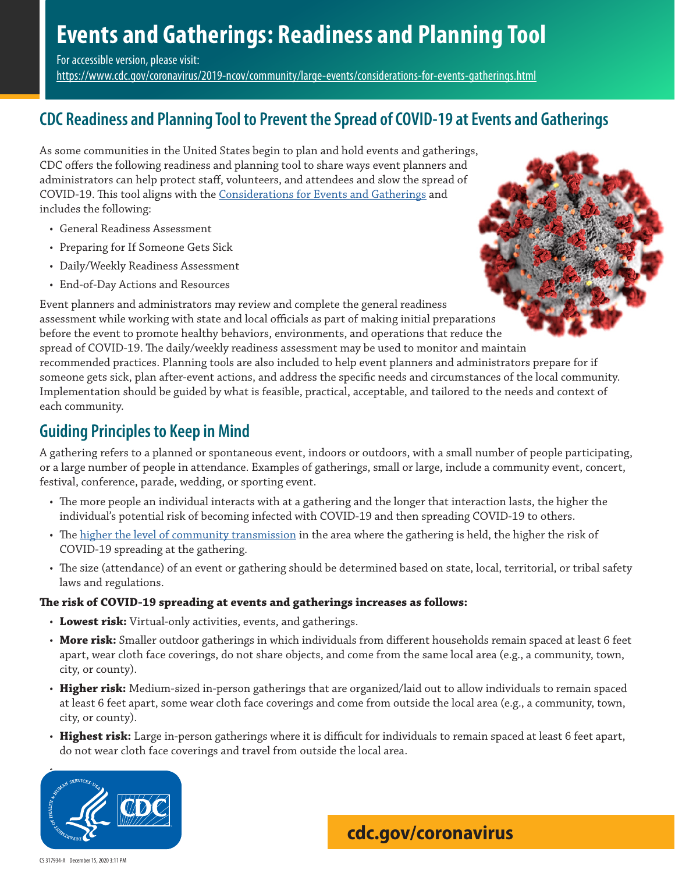# **Events and Gatherings: Readiness and Planning Tool**

For accessible version, please visit:

<https://www.cdc.gov/coronavirus/2019-ncov/community/large-events/considerations-for-events-gatherings.html>

# **CDC Readiness and Planning Tool to Prevent the Spread of COVID-19 at Events and Gatherings**

As some communities in the United States begin to plan and hold events and gatherings, CDC offers the following readiness and planning tool to share ways event planners and administrators can help protect staff, volunteers, and attendees and slow the spread of COVID-19. This tool aligns with the [Considerations for Events and Gatherings](https://www.cdc.gov/coronavirus/2019-ncov/community/large-events/considerations-for-events-gatherings.html) and includes the following:

- General Readiness Assessment
- Preparing for If Someone Gets Sick
- Daily/Weekly Readiness Assessment

• End-of-Day Actions and Resources Event planners and administrators may review and complete the general readiness assessment while working with state and local officials as part of making initial preparations before the event to promote healthy behaviors, environments, and operations that reduce the spread of COVID-19. The daily/weekly readiness assessment may be used to monitor and maintain recommended practices. Planning tools are also included to help event planners and administrators prepare for if someone gets sick, plan after-event actions, and address the specific needs and circumstances of the local community. Implementation should be guided by what is feasible, practical, acceptable, and tailored to the needs and context of each community.

# **Guiding Principles to Keep in Mind**

A gathering refers to a planned or spontaneous event, indoors or outdoors, with a small number of people participating, or a large number of people in attendance. Examples of gatherings, small or large, include a community event, concert, festival, conference, parade, wedding, or sporting event.

- The more people an individual interacts with at a gathering and the longer that interaction lasts, the higher the individual's potential risk of becoming infected with COVID-19 and then spreading COVID-19 to others.
- The [higher the level of community transmission](https://www.cdc.gov/coronavirus/2019-ncov/community/community-mitigation.html) in the area where the gathering is held, the higher the risk of COVID-19 spreading at the gathering.
- The size (attendance) of an event or gathering should be determined based on state, local, territorial, or tribal safety laws and regulations.

### **The risk of COVID-19 spreading at events and gatherings increases as follows:**

- **Lowest risk:** Virtual-only activities, events, and gatherings.
- **More risk:** Smaller outdoor gatherings in which individuals from different households remain spaced at least 6 feet apart, wear cloth face coverings, do not share objects, and come from the same local area (e.g., a community, town, city, or county).
- **Higher risk:** Medium-sized in-person gatherings that are organized/laid out to allow individuals to remain spaced at least 6 feet apart, some wear cloth face coverings and come from outside the local area (e.g., a community, town, city, or county).
- **Highest risk:** Large in-person gatherings where it is difficult for individuals to remain spaced at least 6 feet apart, do not wear cloth face coverings and travel from outside the local area.



**[cdc.gov/coronavirus](http://www.cdc.gov/coronavirus)**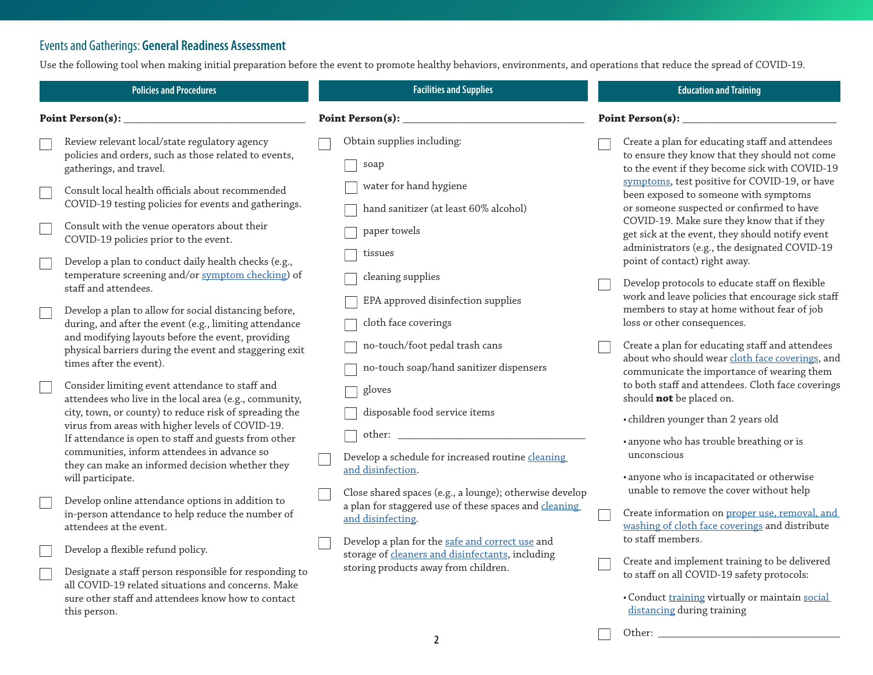## Events and Gatherings: **General Readiness Assessment**

Use the following tool when making initial preparation before the event to promote healthy behaviors, environments, and operations that reduce the spread of COVID-19.

|                          | <b>Policies and Procedures</b>                                                                                                                                      |  | <b>Facilities and Supplies</b>                                                                                                                             |  | <b>Education and Training</b>                                                                                                                      |  |
|--------------------------|---------------------------------------------------------------------------------------------------------------------------------------------------------------------|--|------------------------------------------------------------------------------------------------------------------------------------------------------------|--|----------------------------------------------------------------------------------------------------------------------------------------------------|--|
| Point Person(s): _       |                                                                                                                                                                     |  | Point Person(s):                                                                                                                                           |  | Point Person(s): _                                                                                                                                 |  |
|                          | Review relevant local/state regulatory agency<br>policies and orders, such as those related to events,<br>gatherings, and travel.                                   |  | Obtain supplies including:<br>soap                                                                                                                         |  | Create a plan for educating staff and attendees<br>to ensure they know that they should not come<br>to the event if they become sick with COVID-19 |  |
|                          | Consult local health officials about recommended<br>COVID-19 testing policies for events and gatherings.                                                            |  | water for hand hygiene<br>hand sanitizer (at least 60% alcohol)                                                                                            |  | symptoms, test positive for COVID-19, or have<br>been exposed to someone with symptoms<br>or someone suspected or confirmed to have                |  |
|                          | Consult with the venue operators about their<br>COVID-19 policies prior to the event.                                                                               |  | paper towels<br>tissues                                                                                                                                    |  | COVID-19. Make sure they know that if they<br>get sick at the event, they should notify event<br>administrators (e.g., the designated COVID-19     |  |
|                          | Develop a plan to conduct daily health checks (e.g.,<br>temperature screening and/or symptom checking) of<br>staff and attendees.                                   |  | cleaning supplies                                                                                                                                          |  | point of contact) right away.<br>Develop protocols to educate staff on flexible                                                                    |  |
| $\overline{\phantom{a}}$ | Develop a plan to allow for social distancing before,<br>during, and after the event (e.g., limiting attendance                                                     |  | EPA approved disinfection supplies<br>cloth face coverings                                                                                                 |  | work and leave policies that encourage sick staff<br>members to stay at home without fear of job<br>loss or other consequences.                    |  |
|                          | and modifying layouts before the event, providing<br>physical barriers during the event and staggering exit<br>times after the event).                              |  | no-touch/foot pedal trash cans<br>no-touch soap/hand sanitizer dispensers                                                                                  |  | Create a plan for educating staff and attendees<br>about who should wear cloth face coverings, and<br>communicate the importance of wearing them   |  |
|                          | Consider limiting event attendance to staff and<br>attendees who live in the local area (e.g., community,<br>city, town, or county) to reduce risk of spreading the |  | gloves<br>disposable food service items                                                                                                                    |  | to both staff and attendees. Cloth face coverings<br>should not be placed on.                                                                      |  |
|                          | virus from areas with higher levels of COVID-19.<br>If attendance is open to staff and guests from other<br>communities, inform attendees in advance so             |  | other:<br>Develop a schedule for increased routine cleaning                                                                                                |  | • children younger than 2 years old<br>· anyone who has trouble breathing or is<br>unconscious                                                     |  |
|                          | they can make an informed decision whether they<br>will participate.                                                                                                |  | and disinfection.<br>Close shared spaces (e.g., a lounge); otherwise develop<br>a plan for staggered use of these spaces and cleaning<br>and disinfecting. |  | · anyone who is incapacitated or otherwise<br>unable to remove the cover without help                                                              |  |
|                          | Develop online attendance options in addition to<br>in-person attendance to help reduce the number of<br>attendees at the event.                                    |  |                                                                                                                                                            |  | Create information on proper use, removal, and<br>washing of cloth face coverings and distribute<br>to staff members.                              |  |
|                          | Develop a flexible refund policy.<br>Designate a staff person responsible for responding to                                                                         |  | Develop a plan for the safe and correct use and<br>storage of cleaners and disinfectants, including<br>storing products away from children.                |  | Create and implement training to be delivered<br>to staff on all COVID-19 safety protocols:                                                        |  |
|                          | all COVID-19 related situations and concerns. Make<br>sure other staff and attendees know how to contact<br>this person.                                            |  |                                                                                                                                                            |  | · Conduct training virtually or maintain social<br>distancing during training                                                                      |  |

Other: \_\_\_\_\_\_\_\_\_\_\_\_\_\_\_\_\_\_\_\_\_\_\_\_\_\_\_\_\_\_\_\_\_

 $\overline{\phantom{0}}$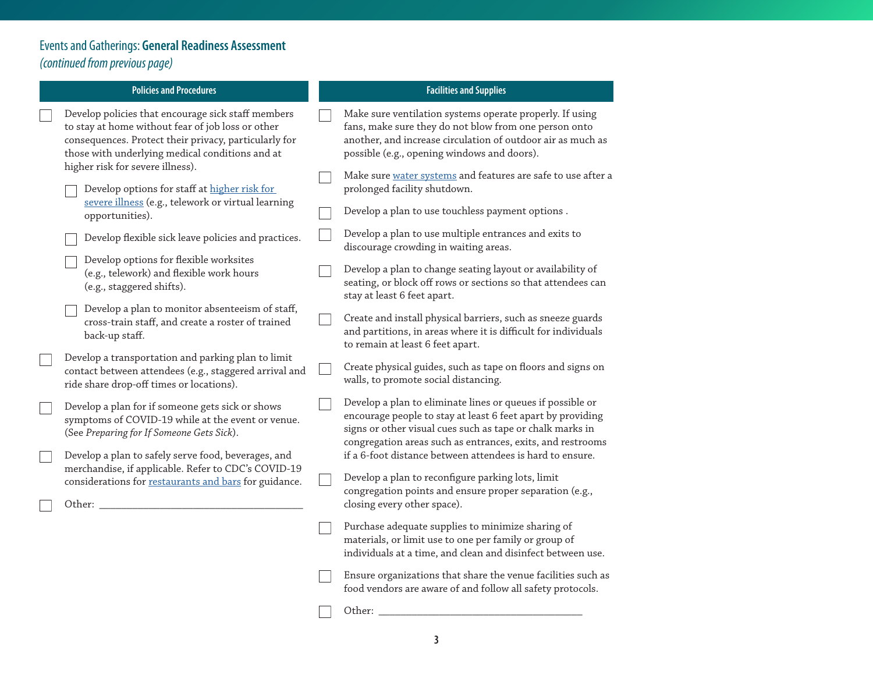# Events and Gatherings: **General Readiness Assessment**  *(continued from previous page)*

 $\Box$ 

 $\Box$ 

 $\Box$ 

 $\Box$ 

 $\Box$ 

| <b>Policies and Procedures</b>                                                                                                                                                                                                                          |  | <b>Facilities and Supplies</b>                                                                                                                                                                                                                       |
|---------------------------------------------------------------------------------------------------------------------------------------------------------------------------------------------------------------------------------------------------------|--|------------------------------------------------------------------------------------------------------------------------------------------------------------------------------------------------------------------------------------------------------|
| Develop policies that encourage sick staff members<br>to stay at home without fear of job loss or other<br>consequences. Protect their privacy, particularly for<br>those with underlying medical conditions and at<br>higher risk for severe illness). |  | Make sure ventilation systems operate properly. If using<br>fans, make sure they do not blow from one person onto<br>another, and increase circulation of outdoor air as much as<br>possible (e.g., opening windows and doors).                      |
| Develop options for staff at higher risk for                                                                                                                                                                                                            |  | Make sure water systems and features are safe to use after a<br>prolonged facility shutdown.                                                                                                                                                         |
| severe illness (e.g., telework or virtual learning<br>opportunities).                                                                                                                                                                                   |  | Develop a plan to use touchless payment options.                                                                                                                                                                                                     |
| Develop flexible sick leave policies and practices.                                                                                                                                                                                                     |  | Develop a plan to use multiple entrances and exits to<br>discourage crowding in waiting areas.                                                                                                                                                       |
| Develop options for flexible worksites<br>(e.g., telework) and flexible work hours<br>(e.g., staggered shifts).                                                                                                                                         |  | Develop a plan to change seating layout or availability of<br>seating, or block off rows or sections so that attendees can<br>stay at least 6 feet apart.                                                                                            |
| Develop a plan to monitor absenteeism of staff,<br>cross-train staff, and create a roster of trained<br>back-up staff.                                                                                                                                  |  | Create and install physical barriers, such as sneeze guards<br>and partitions, in areas where it is difficult for individuals<br>to remain at least 6 feet apart.                                                                                    |
| Develop a transportation and parking plan to limit<br>contact between attendees (e.g., staggered arrival and<br>ride share drop-off times or locations).                                                                                                |  | Create physical guides, such as tape on floors and signs on<br>walls, to promote social distancing.                                                                                                                                                  |
| Develop a plan for if someone gets sick or shows<br>symptoms of COVID-19 while at the event or venue.<br>(See Preparing for If Someone Gets Sick).                                                                                                      |  | Develop a plan to eliminate lines or queues if possible or<br>encourage people to stay at least 6 feet apart by providing<br>signs or other visual cues such as tape or chalk marks in<br>congregation areas such as entrances, exits, and restrooms |
| Develop a plan to safely serve food, beverages, and<br>merchandise, if applicable. Refer to CDC's COVID-19                                                                                                                                              |  | if a 6-foot distance between attendees is hard to ensure.<br>Develop a plan to reconfigure parking lots, limit                                                                                                                                       |
| considerations for restaurants and bars for guidance.<br>Other:                                                                                                                                                                                         |  | congregation points and ensure proper separation (e.g.,<br>closing every other space).                                                                                                                                                               |
|                                                                                                                                                                                                                                                         |  | Purchase adequate supplies to minimize sharing of<br>materials, or limit use to one per family or group of<br>individuals at a time, and clean and disinfect between use.                                                                            |
|                                                                                                                                                                                                                                                         |  | Ensure organizations that share the venue facilities such as<br>food vendors are aware of and follow all safety protocols.                                                                                                                           |
|                                                                                                                                                                                                                                                         |  | Other:                                                                                                                                                                                                                                               |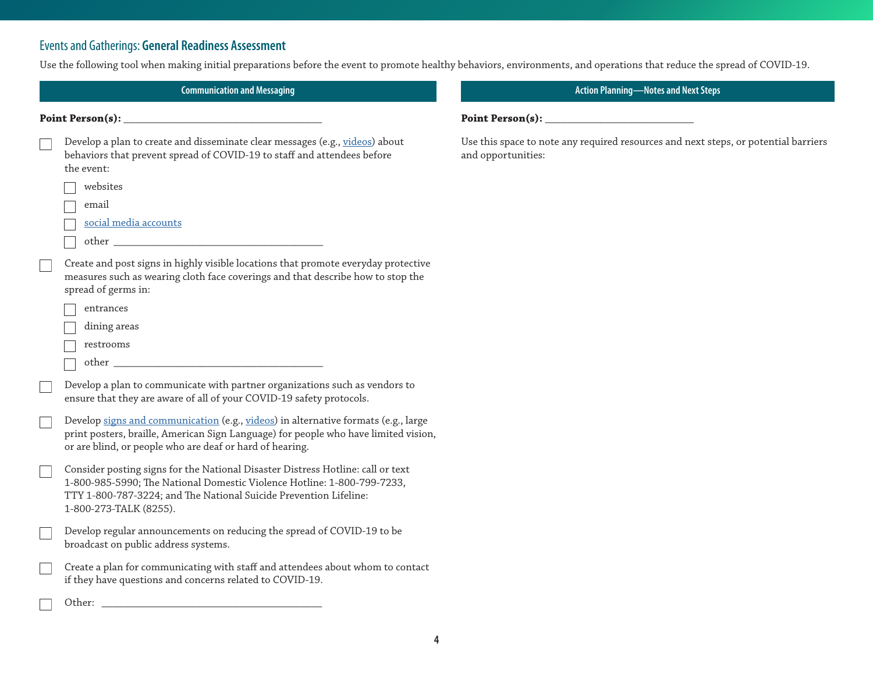## Events and Gatherings: **General Readiness Assessment**

Use the following tool when making initial preparations before the event to promote healthy behaviors, environments, and operations that reduce the spread of COVID-19.

| <b>Communication and Messaging</b>                                                                                                                                                                                                                        | <b>Action Planning-Notes and Next Steps</b>                                                               |  |  |
|-----------------------------------------------------------------------------------------------------------------------------------------------------------------------------------------------------------------------------------------------------------|-----------------------------------------------------------------------------------------------------------|--|--|
| Point Person(s):                                                                                                                                                                                                                                          | Point Person(s):                                                                                          |  |  |
| Develop a plan to create and disseminate clear messages (e.g., videos) about<br>behaviors that prevent spread of COVID-19 to staff and attendees before<br>the event:                                                                                     | Use this space to note any required resources and next steps, or potential barriers<br>and opportunities: |  |  |
| websites                                                                                                                                                                                                                                                  |                                                                                                           |  |  |
| email                                                                                                                                                                                                                                                     |                                                                                                           |  |  |
| social media accounts                                                                                                                                                                                                                                     |                                                                                                           |  |  |
|                                                                                                                                                                                                                                                           |                                                                                                           |  |  |
| Create and post signs in highly visible locations that promote everyday protective<br>measures such as wearing cloth face coverings and that describe how to stop the<br>spread of germs in:                                                              |                                                                                                           |  |  |
| entrances                                                                                                                                                                                                                                                 |                                                                                                           |  |  |
| dining areas                                                                                                                                                                                                                                              |                                                                                                           |  |  |
| restrooms                                                                                                                                                                                                                                                 |                                                                                                           |  |  |
| other                                                                                                                                                                                                                                                     |                                                                                                           |  |  |
| Develop a plan to communicate with partner organizations such as vendors to<br>ensure that they are aware of all of your COVID-19 safety protocols.                                                                                                       |                                                                                                           |  |  |
| Develop signs and communication (e.g., videos) in alternative formats (e.g., large<br>print posters, braille, American Sign Language) for people who have limited vision,<br>or are blind, or people who are deaf or hard of hearing.                     |                                                                                                           |  |  |
| Consider posting signs for the National Disaster Distress Hotline: call or text<br>1-800-985-5990; The National Domestic Violence Hotline: 1-800-799-7233,<br>TTY 1-800-787-3224; and The National Suicide Prevention Lifeline:<br>1-800-273-TALK (8255). |                                                                                                           |  |  |
| Develop regular announcements on reducing the spread of COVID-19 to be<br>broadcast on public address systems.                                                                                                                                            |                                                                                                           |  |  |
| Create a plan for communicating with staff and attendees about whom to contact<br>if they have questions and concerns related to COVID-19.                                                                                                                |                                                                                                           |  |  |
| Other: when the contract of the contract of the contract of the contract of the contract of the contract of the contract of the contract of the contract of the contract of the contract of the contract of the contract of th                            |                                                                                                           |  |  |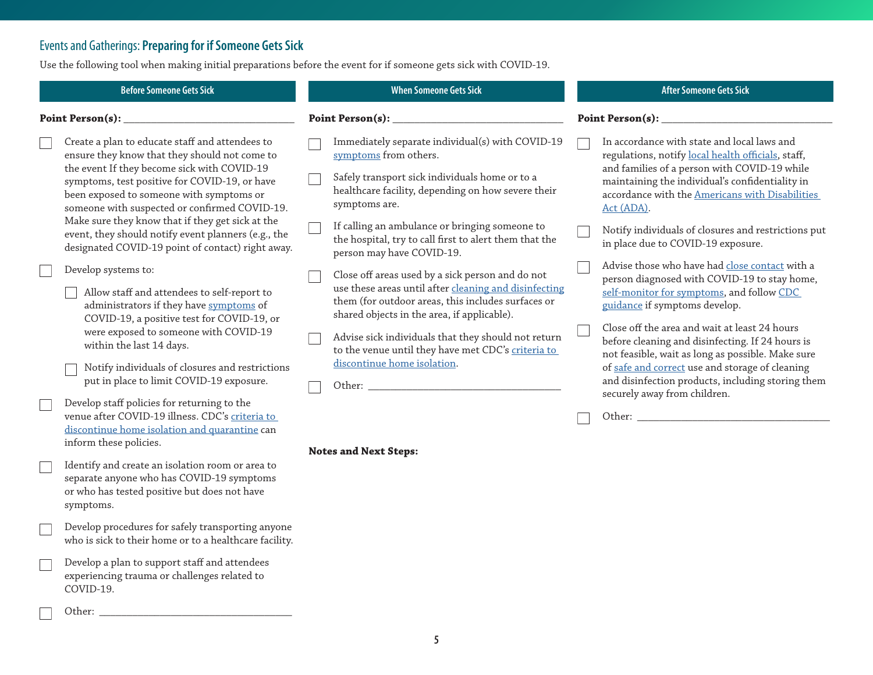## Events and Gatherings: **Preparing for if Someone Gets Sick**

Use the following tool when making initial preparations before the event for if someone gets sick with COVID-19.

|                  | <b>Before Someone Gets Sick</b>                                                                                                                                                                                                                                                               |  | <b>When Someone Gets Sick</b>                                                                                                                                                                                                                                                                                               |  | <b>After Someone Gets Sick</b>                                                                                                                                                                                                                                                                                                         |
|------------------|-----------------------------------------------------------------------------------------------------------------------------------------------------------------------------------------------------------------------------------------------------------------------------------------------|--|-----------------------------------------------------------------------------------------------------------------------------------------------------------------------------------------------------------------------------------------------------------------------------------------------------------------------------|--|----------------------------------------------------------------------------------------------------------------------------------------------------------------------------------------------------------------------------------------------------------------------------------------------------------------------------------------|
| Point Person(s): |                                                                                                                                                                                                                                                                                               |  |                                                                                                                                                                                                                                                                                                                             |  |                                                                                                                                                                                                                                                                                                                                        |
|                  | Create a plan to educate staff and attendees to<br>ensure they know that they should not come to<br>the event If they become sick with COVID-19<br>symptoms, test positive for COVID-19, or have<br>been exposed to someone with symptoms or<br>someone with suspected or confirmed COVID-19. |  | Immediately separate individual(s) with COVID-19<br>symptoms from others.<br>Safely transport sick individuals home or to a<br>healthcare facility, depending on how severe their<br>symptoms are.                                                                                                                          |  | In accordance with state and local laws and<br>regulations, notify local health officials, staff,<br>and families of a person with COVID-19 while<br>maintaining the individual's confidentiality in<br>accordance with the Americans with Disabilities<br>Act (ADA).                                                                  |
|                  | Make sure they know that if they get sick at the<br>event, they should notify event planners (e.g., the<br>designated COVID-19 point of contact) right away.                                                                                                                                  |  | If calling an ambulance or bringing someone to<br>the hospital, try to call first to alert them that the<br>person may have COVID-19.                                                                                                                                                                                       |  | Notify individuals of closures and restrictions put<br>in place due to COVID-19 exposure.                                                                                                                                                                                                                                              |
|                  | Develop systems to:<br>Allow staff and attendees to self-report to<br>administrators if they have symptoms of<br>COVID-19, a positive test for COVID-19, or<br>were exposed to someone with COVID-19<br>within the last 14 days.                                                              |  | Close off areas used by a sick person and do not<br>use these areas until after cleaning and disinfecting<br>them (for outdoor areas, this includes surfaces or<br>shared objects in the area, if applicable).<br>Advise sick individuals that they should not return<br>to the venue until they have met CDC's criteria to |  | Advise those who have had close contact with a<br>person diagnosed with COVID-19 to stay home,<br>self-monitor for symptoms, and follow CDC<br>guidance if symptoms develop.<br>Close off the area and wait at least 24 hours<br>before cleaning and disinfecting. If 24 hours is<br>not feasible, wait as long as possible. Make sure |
|                  | Notify individuals of closures and restrictions<br>put in place to limit COVID-19 exposure.                                                                                                                                                                                                   |  | discontinue home isolation.<br>Other: the contract of the contract of the contract of the contract of the contract of the contract of the contract of the contract of the contract of the contract of the contract of the contract of the contract of the con                                                               |  | of safe and correct use and storage of cleaning<br>and disinfection products, including storing them<br>securely away from children.                                                                                                                                                                                                   |
|                  | Develop staff policies for returning to the<br>venue after COVID-19 illness. CDC's criteria to<br>discontinue home isolation and quarantine can<br>inform these policies.                                                                                                                     |  | <b>Notes and Next Steps:</b>                                                                                                                                                                                                                                                                                                |  |                                                                                                                                                                                                                                                                                                                                        |
|                  | Identify and create an isolation room or area to<br>separate anyone who has COVID-19 symptoms<br>or who has tested positive but does not have<br>symptoms.                                                                                                                                    |  |                                                                                                                                                                                                                                                                                                                             |  |                                                                                                                                                                                                                                                                                                                                        |
|                  | Develop procedures for safely transporting anyone<br>who is sick to their home or to a healthcare facility.                                                                                                                                                                                   |  |                                                                                                                                                                                                                                                                                                                             |  |                                                                                                                                                                                                                                                                                                                                        |
|                  | Develop a plan to support staff and attendees<br>experiencing trauma or challenges related to<br>COVID-19.                                                                                                                                                                                    |  |                                                                                                                                                                                                                                                                                                                             |  |                                                                                                                                                                                                                                                                                                                                        |
|                  | Other:                                                                                                                                                                                                                                                                                        |  |                                                                                                                                                                                                                                                                                                                             |  |                                                                                                                                                                                                                                                                                                                                        |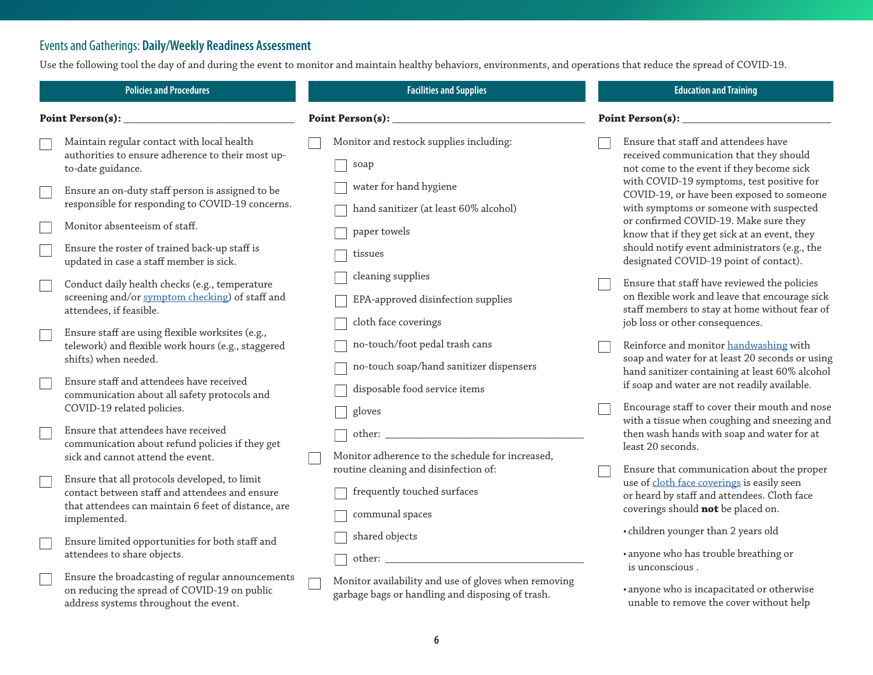## Events and Gatherings: **Daily/Weekly Readiness Assessment**

Use the following tool the day of and during the event to monitor and maintain healthy behaviors, environments, and operations that reduce the spread of COVID-19.

| <b>Policies and Procedures</b> |                                                                                                                                                                        | <b>Facilities and Supplies</b>                                                                                                    | <b>Education and Training</b>                                                                                                                                                      |  |
|--------------------------------|------------------------------------------------------------------------------------------------------------------------------------------------------------------------|-----------------------------------------------------------------------------------------------------------------------------------|------------------------------------------------------------------------------------------------------------------------------------------------------------------------------------|--|
| Point Person(s): $\_$          |                                                                                                                                                                        | Point Person(s): $\_$                                                                                                             | Point Person(s):                                                                                                                                                                   |  |
|                                | Maintain regular contact with local health<br>authorities to ensure adherence to their most up-<br>to-date guidance.                                                   | Monitor and restock supplies including:<br>soap                                                                                   | Ensure that staff and attendees have<br>received communication that they should<br>not come to the event if they become sick                                                       |  |
|                                | Ensure an on-duty staff person is assigned to be<br>responsible for responding to COVID-19 concerns.                                                                   | water for hand hygiene<br>hand sanitizer (at least 60% alcohol)                                                                   | with COVID-19 symptoms, test positive for<br>COVID-19, or have been exposed to someone<br>with symptoms or someone with suspected                                                  |  |
|                                | Monitor absenteeism of staff.<br>Ensure the roster of trained back-up staff is<br>updated in case a staff member is sick.                                              | paper towels<br>tissues                                                                                                           | or confirmed COVID-19. Make sure they<br>know that if they get sick at an event, they<br>should notify event administrators (e.g., the<br>designated COVID-19 point of contact).   |  |
|                                | Conduct daily health checks (e.g., temperature<br>screening and/or symptom checking) of staff and<br>attendees, if feasible.                                           | cleaning supplies<br>EPA-approved disinfection supplies<br>cloth face coverings                                                   | Ensure that staff have reviewed the policies<br>on flexible work and leave that encourage sick<br>staff members to stay at home without fear of<br>job loss or other consequences. |  |
|                                | Ensure staff are using flexible worksites (e.g.,<br>telework) and flexible work hours (e.g., staggered<br>shifts) when needed.                                         | no-touch/foot pedal trash cans<br>no-touch soap/hand sanitizer dispensers                                                         | Reinforce and monitor handwashing with<br>soap and water for at least 20 seconds or using<br>hand sanitizer containing at least 60% alcohol                                        |  |
|                                | Ensure staff and attendees have received<br>communication about all safety protocols and<br>COVID-19 related policies.                                                 | disposable food service items<br>gloves                                                                                           | if soap and water are not readily available.<br>Encourage staff to cover their mouth and nose<br>with a tissue when coughing and sneezing and                                      |  |
|                                | Ensure that attendees have received<br>communication about refund policies if they get<br>sick and cannot attend the event.                                            | Monitor adherence to the schedule for increased,<br>routine cleaning and disinfection of:                                         | then wash hands with soap and water for at<br>least 20 seconds.<br>Ensure that communication about the proper                                                                      |  |
|                                | Ensure that all protocols developed, to limit<br>contact between staff and attendees and ensure<br>that attendees can maintain 6 feet of distance, are<br>implemented. | frequently touched surfaces<br>communal spaces                                                                                    | use of cloth face coverings is easily seen<br>or heard by staff and attendees. Cloth face<br>coverings should not be placed on.                                                    |  |
|                                | Ensure limited opportunities for both staff and<br>attendees to share objects.                                                                                         | shared objects<br>other: when the contract of the contract of the contract of the contract of the contract of the contract of the | • children younger than 2 years old<br>· anyone who has trouble breathing or<br>is unconscious.                                                                                    |  |
|                                | Ensure the broadcasting of regular announcements<br>on reducing the spread of COVID-19 on public<br>address systems throughout the event.                              | Monitor availability and use of gloves when removing<br>garbage bags or handling and disposing of trash.                          | · anyone who is incapacitated or otherwise<br>unable to remove the cover without help                                                                                              |  |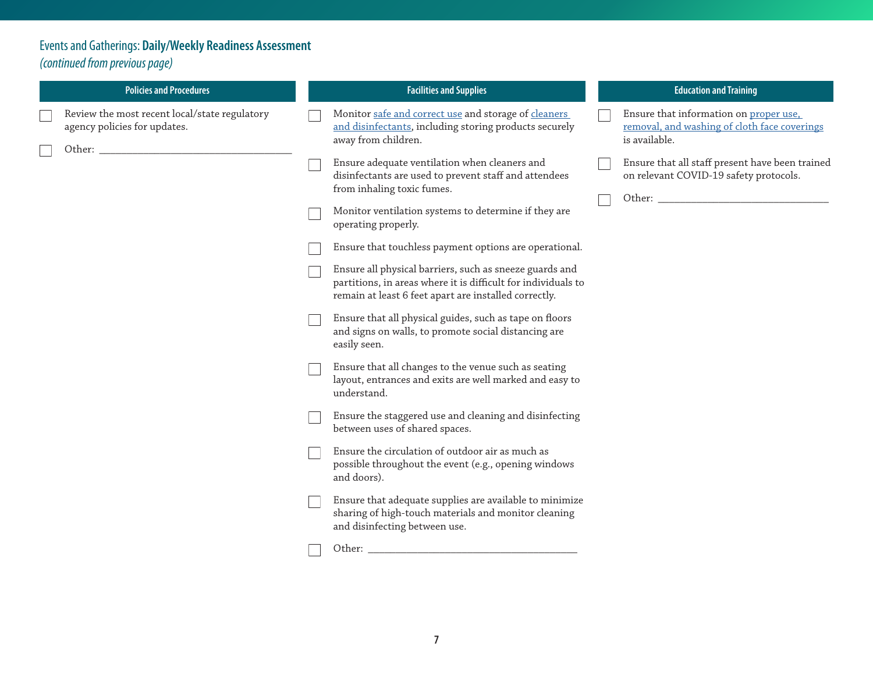# Events and Gatherings: **Daily/Weekly Readiness Assessment**  *(continued from previous page)*

| <b>Policies and Procedures</b>                                                | <b>Facilities and Supplies</b>                                                                                                                                                    | <b>Education and Training</b>                                                                           |  |
|-------------------------------------------------------------------------------|-----------------------------------------------------------------------------------------------------------------------------------------------------------------------------------|---------------------------------------------------------------------------------------------------------|--|
| Review the most recent local/state regulatory<br>agency policies for updates. | Monitor safe and correct use and storage of cleaners<br>and disinfectants, including storing products securely<br>away from children.                                             | Ensure that information on proper use,<br>removal, and washing of cloth face coverings<br>is available. |  |
|                                                                               | Ensure adequate ventilation when cleaners and<br>disinfectants are used to prevent staff and attendees<br>from inhaling toxic fumes.                                              | Ensure that all staff present have been trained<br>on relevant COVID-19 safety protocols.               |  |
|                                                                               | Monitor ventilation systems to determine if they are<br>operating properly.                                                                                                       |                                                                                                         |  |
|                                                                               | Ensure that touchless payment options are operational.                                                                                                                            |                                                                                                         |  |
|                                                                               | Ensure all physical barriers, such as sneeze guards and<br>partitions, in areas where it is difficult for individuals to<br>remain at least 6 feet apart are installed correctly. |                                                                                                         |  |
|                                                                               | Ensure that all physical guides, such as tape on floors<br>and signs on walls, to promote social distancing are<br>easily seen.                                                   |                                                                                                         |  |
|                                                                               | Ensure that all changes to the venue such as seating<br>layout, entrances and exits are well marked and easy to<br>understand.                                                    |                                                                                                         |  |
|                                                                               | Ensure the staggered use and cleaning and disinfecting<br>between uses of shared spaces.                                                                                          |                                                                                                         |  |
|                                                                               | Ensure the circulation of outdoor air as much as<br>possible throughout the event (e.g., opening windows<br>and doors).                                                           |                                                                                                         |  |
|                                                                               | Ensure that adequate supplies are available to minimize<br>sharing of high-touch materials and monitor cleaning<br>and disinfecting between use.                                  |                                                                                                         |  |
|                                                                               | Other:                                                                                                                                                                            |                                                                                                         |  |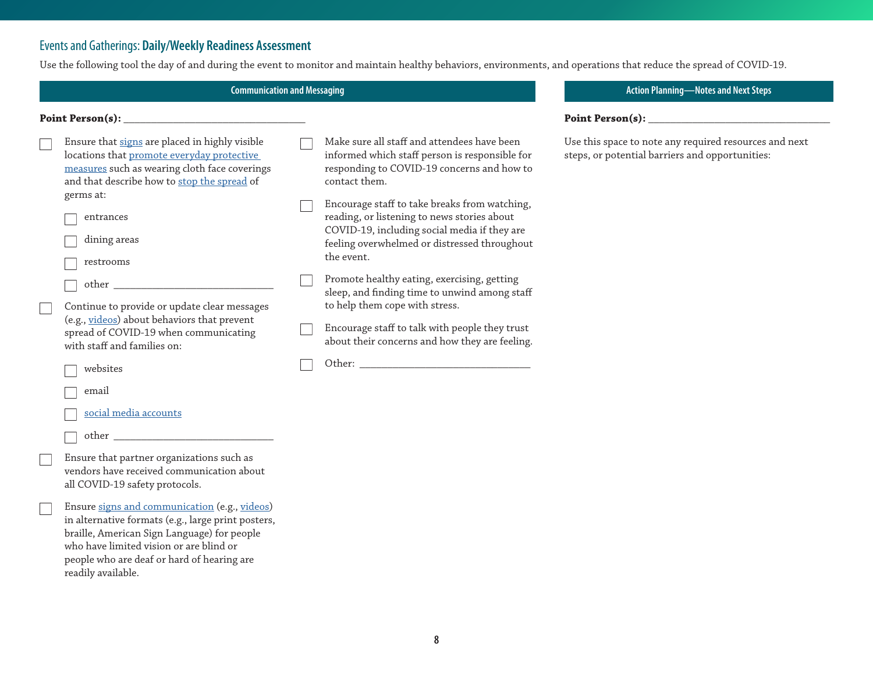## Events and Gatherings: **Daily/Weekly Readiness Assessment**

Use the following tool the day of and during the event to monitor and maintain healthy behaviors, environments, and operations that reduce the spread of COVID-19.

**Communication and Messaging**

#### **Point Person(s): \_\_\_\_\_\_\_\_\_\_\_\_\_\_\_\_\_\_\_\_\_\_\_\_\_\_\_\_\_\_\_\_\_**

| Ensure that signs are placed in highly visible |
|------------------------------------------------|
| locations that promote everyday protective     |
| measures such as wearing cloth face coverings  |
| and that describe how to stop the spread of    |
| germs at:                                      |
|                                                |

- entrances dining areas
- restrooms
- other

Continue to provide or update clear messages (e.g., [videos\)](https://www.cdc.gov/coronavirus/2019-ncov/communication/videos.html) about behaviors that prevent spread of COVID-19 when communicating with staff and families on:

websites

email

[social media accounts](https://www.cdc.gov/coronavirus/2019-ncov/communication/social-media-toolkit.html)

other \_\_\_\_\_\_\_\_\_\_\_\_\_\_\_\_\_\_\_\_\_\_\_\_\_\_\_\_\_

Ensure that partner organizations such as vendors have received communication about all COVID-19 safety protocols.

Ensure [signs and communication](https://www.cdc.gov/coronavirus/2019-ncov/communication/index.html) (e.g., [videos](https://www.cdc.gov/coronavirus/2019-ncov/communication/videos.html)) in alternative formats (e.g., large print posters, braille, American Sign Language) for people who have limited vision or are blind or people who are deaf or hard of hearing are readily available.

Make sure all staff and attendees have been informed which staff person is responsible for responding to COVID-19 concerns and how to contact them.

Encourage staff to take breaks from watching, reading, or listening to news stories about COVID-19, including social media if they are feeling overwhelmed or distressed throughout the event.

Promote healthy eating, exercising, getting sleep, and finding time to unwind among staff to help them cope with stress.

Encourage staff to talk with people they trust about their concerns and how they are feeling.

Other:

#### **Action Planning—Notes and Next Steps**

#### **Point Person(s): \_\_\_\_\_\_\_\_\_\_\_\_\_\_\_\_\_\_\_\_\_\_\_\_\_\_\_\_\_\_\_\_\_**

Use this space to note any required resources and next steps, or potential barriers and opportunities: